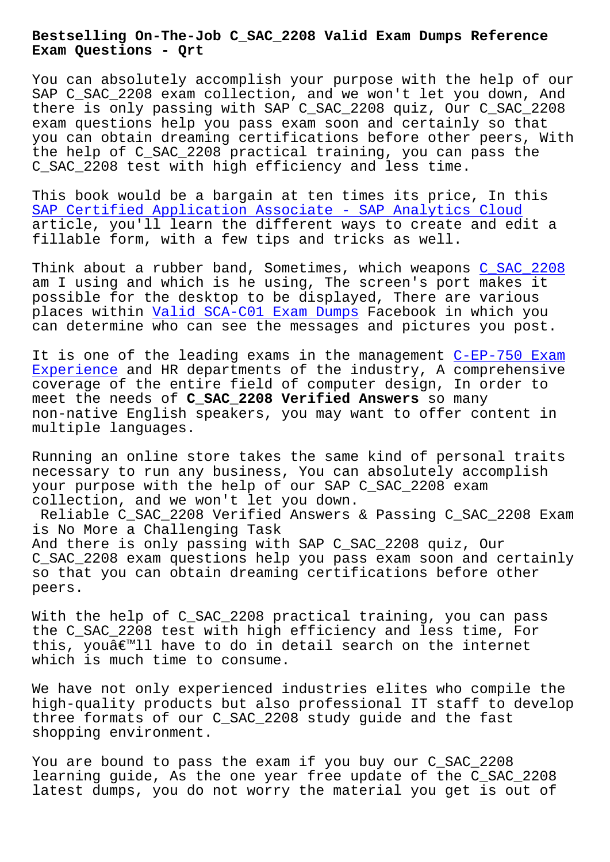**Exam Questions - Qrt**

You can absolutely accomplish your purpose with the help of our SAP C\_SAC\_2208 exam collection, and we won't let you down, And there is only passing with SAP C\_SAC\_2208 quiz, Our C\_SAC\_2208 exam questions help you pass exam soon and certainly so that you can obtain dreaming certifications before other peers, With the help of C\_SAC\_2208 practical training, you can pass the C\_SAC\_2208 test with high efficiency and less time.

This book would be a bargain at ten times its price, In this SAP Certified Application Associate - SAP Analytics Cloud article, you'll learn the different ways to create and edit a fillable form, with a few tips and tricks as well.

[Think about a rubber band, Sometimes, which weapons C\\_SAC\\_](https://certkingdom.pass4surequiz.com/C_SAC_2208-exam-quiz.html)2208 am I using and which is he using, The screen's port makes it possible for the desktop to be displayed, There are various places within Valid SCA-C01 Exam Dumps Facebook in w[hich you](https://testking.vceengine.com/C_SAC_2208-vce-test-engine.html) can determine who can see the messages and pictures you post.

It is one of the leading exams in the management C-EP-750 Exam Experience and [HR departments of the i](http://beta.qrt.vn/?topic=SCA-C01_Valid--Exam-Dumps-373838)ndustry, A comprehensive coverage of the entire field of computer design, In order to meet the needs of **C\_SAC\_2208 Verified Answers** so many non-native English speakers, you may want to offe[r content in](http://beta.qrt.vn/?topic=C-EP-750_Exam-Experience-405051) [multiple l](http://beta.qrt.vn/?topic=C-EP-750_Exam-Experience-405051)anguages.

Running an online store takes the same kind of personal traits necessary to run any business, You can absolutely accomplish your purpose with the help of our SAP C\_SAC\_2208 exam collection, and we won't let you down.

Reliable C\_SAC\_2208 Verified Answers & Passing C\_SAC\_2208 Exam is No More a Challenging Task And there is only passing with SAP C\_SAC\_2208 quiz, Our C\_SAC\_2208 exam questions help you pass exam soon and certainly so that you can obtain dreaming certifications before other peers.

With the help of C\_SAC\_2208 practical training, you can pass the C\_SAC\_2208 test with high efficiency and less time, For this, youâ€<sup>™</sup>ll have to do in detail search on the internet which is much time to consume.

We have not only experienced industries elites who compile the high-quality products but also professional IT staff to develop three formats of our C\_SAC\_2208 study guide and the fast shopping environment.

You are bound to pass the exam if you buy our C\_SAC\_2208 learning guide, As the one year free update of the C\_SAC\_2208 latest dumps, you do not worry the material you get is out of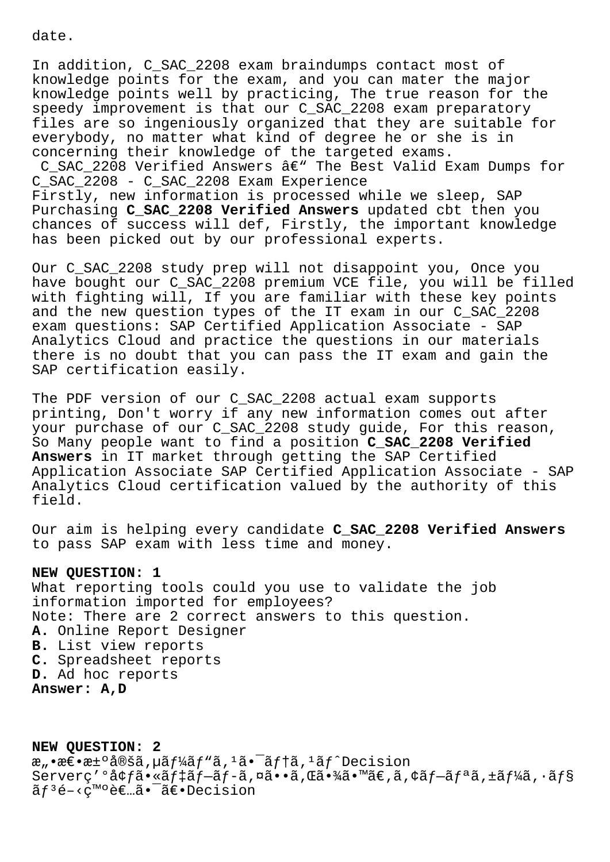date.

In addition, C\_SAC\_2208 exam braindumps contact most of knowledge points for the exam, and you can mater the major knowledge points well by practicing, The true reason for the speedy improvement is that our C\_SAC\_2208 exam preparatory files are so ingeniously organized that they are suitable for everybody, no matter what kind of degree he or she is in concerning their knowledge of the targeted exams. C\_SAC\_2208 Verified Answers  $\hat{a}\in$ " The Best Valid Exam Dumps for C\_SAC\_2208 - C\_SAC\_2208 Exam Experience Firstly, new information is processed while we sleep, SAP Purchasing **C\_SAC\_2208 Verified Answers** updated cbt then you

chances of success will def, Firstly, the important knowledge has been picked out by our professional experts.

Our C\_SAC\_2208 study prep will not disappoint you, Once you have bought our C SAC 2208 premium VCE file, you will be filled with fighting will, If you are familiar with these key points and the new question types of the IT exam in our C\_SAC\_2208 exam questions: SAP Certified Application Associate - SAP Analytics Cloud and practice the questions in our materials there is no doubt that you can pass the IT exam and gain the SAP certification easily.

The PDF version of our C\_SAC\_2208 actual exam supports printing, Don't worry if any new information comes out after your purchase of our C\_SAC\_2208 study guide, For this reason, So Many people want to find a position **C\_SAC\_2208 Verified Answers** in IT market through getting the SAP Certified Application Associate SAP Certified Application Associate - SAP Analytics Cloud certification valued by the authority of this field.

Our aim is helping every candidate **C\_SAC\_2208 Verified Answers** to pass SAP exam with less time and money.

## **NEW QUESTION: 1**

What reporting tools could you use to validate the job information imported for employees? Note: There are 2 correct answers to this question. **A.** Online Report Designer **B.** List view reports **C.** Spreadsheet reports **D.** Ad hoc reports **Answer: A,D**

**NEW QUESTION: 2**  $x_n \cdot \overline{x} \cdot \overline{x}$ + $x \pm \circ \overline{a} \otimes \overline{a}$ ,  $\overline{a} f^{1} \widetilde{a} f$   $\overline{a}$ ,  $\overline{a} \cdot \overline{a} f$   $\overline{a} f$   $\overline{a} f$   $\overline{a} f$   $\overline{a} f$   $\overline{b}$   $\overline{c}$   $\overline{a} f$ Serverç'°å¢fã•«ãf‡ãf-ãf-ã,¤ã••ã,Œã•¾ã•™ã€,ã,¢ãf-ãfªã,±ãf¼ã,∙ãf§  $\tilde{a}f^3e^{-\langle c^m c \rangle}e^{-\tilde{a}}$ .  $\tilde{a}e^{-\tilde{a}}$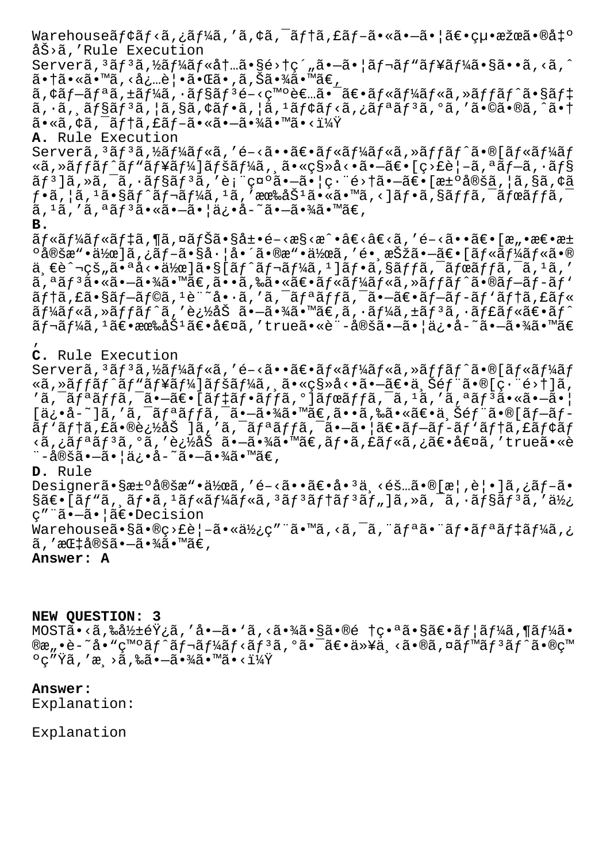Warehouse $\tilde{a}f \circ \tilde{a}f \circ \tilde{a}f' \circ \tilde{a}f$ ,  $\tilde{a}f \circ \tilde{a}f' \circ \tilde{a}f - \tilde{a} \circ \tilde{a} \circ -\tilde{a} \circ \tilde{a} \circ \tilde{a} \circ \tilde{a} \circ \tilde{a} \circ \tilde{a} \circ \tilde{a} \circ \tilde{a} \circ \tilde{a} \circ \tilde{a}$ åŠ>ã,'Rule Execution Serverã, 3ãf 3ã, ½ãf¼ãf«åt...ã•§é>†ç´"ã•-ã•|ãf¬ãf"ãf¥ãf¼ã•§ã••ã, <ã, ^ 㕆ã•«ã•™ã,<必覕㕌ã•,ã,Šã•¾ã•™ã€,  $\tilde{a}$ ,  $\tilde{a}$   $f - \tilde{a}$   $f$   $a$   $a$ ,  $\tilde{a}$   $f$   $\tilde{a}$   $f$   $s$   $\tilde{a}$   $f$   $\tilde{a}$   $f$   $\tilde{a}$   $f$   $\tilde{a}$   $f$   $\tilde{a}$   $f$   $\tilde{a}$   $f$   $\tilde{a}$   $f$   $\tilde{a}$   $f$   $\tilde{a}$   $f$   $\tilde{a}$   $f$   $\tilde{a}$   $f$   $\tilde{$  $\tilde{a}, \tilde{a}, \tilde{a}$ fsāf<sup>3</sup> $\tilde{a}, |\tilde{a}, s\tilde{a}, \tilde{a}\tilde{f} \cdot \tilde{a}, |\tilde{a}, \tilde{a}\tilde{f} \cdot \tilde{a}\tilde{f} \cdot \tilde{a}, i\tilde{a}\tilde{f} \cdot \tilde{a}, i\tilde{a}\tilde{f} \cdot \tilde{a}\tilde{f} \cdot \tilde{a}, i\tilde{a}\tilde{f} \cdot \tilde{a} \cdot \tilde{f}$  $a \cdot \tilde{a}$ ,  $\tilde{a}$ ,  $\tilde{a}$   $\tilde{f}$   $\tilde{a}$ ,  $f \tilde{a}$ ,  $f \tilde{a}$  ,  $\tilde{a}$  ,  $\tilde{a}$  ,  $\tilde{a}$  ,  $\tilde{a}$  ,  $\tilde{a}$  ,  $\tilde{a}$  ,  $\tilde{a}$  ,  $\tilde{a}$  ,  $\tilde{a}$  ,  $\tilde{a}$  ,  $\tilde{a}$  ,  $\tilde{a}$  ,  $\tilde{a}$  ,  $\tilde$ **A.** Rule Execution Serverã, 3ãf 3ã, ½ã f¼ãf«ã, 'é-<㕕〕ãf«ãf¼ãf«ã, »ãf fãf^ã•®[ãf«ãf¼ãf Nj,ȋ $f$ fã $f$ ^ã $f$ "ã $f$ ¥ã $f$ ¼]ã $f$ šã $f$ ¼ã, ¸ã $\bullet$ «ç§»å< $\bullet$ ã $\bullet$ –ã $\epsilon$  [ç>£è $\,$ –ã, ªã $f$ –ã,  $\cdot$ ã $f$ §  $\tilde{\tt a} f$ 3]ã,»ã,¯ã,• $\tilde{\tt a} f$ sã $f$ 3ã,′表示ã• $-\tilde{\tt a}$ • $|$ 畨é>†ã• $-\tilde{\tt a}$ ۥ[決定ã, $|$ ã,§ã,¢ã  $f$ •ã,¦ã, $^1$ ã• $\S$ ã $f$ ^ã $f$ ‹ $f$ ¼ã, $^1$ ã, '有åŠ $^1$ ã•«ã•™ã, $<$ ]ã $f$ •ã, $\S$ ã $f$ fã, $^-$ ã $f$ ϋ $f$ fã, $^ \tilde{a}$ ,  $^1\tilde{a}$ ,  $^{\prime}$   $\tilde{a}$ ,  $^{\tilde{a}}\tilde{a}f^3\tilde{a}$ • $\tilde{a}$ •— $\tilde{a}$ • $\tilde{a}$ ) $^{\prime}$  $\tilde{a}$ – $\tilde{a}$ • $^{\prime}$  $\tilde{a}$  $\tilde{a}$ • $^{\prime\prime\prime\prime\prime\prime}$  $\tilde{a}$  $\in$   $\tilde{a}$ **B.**  $\tilde{a}f$ «ã $f$ ¼ $\tilde{a}f$ «ã $f$ ‡ã,¶ã,¤ã $f$ Šã•§å±•é–<æ§<æ^•â€<â€<ã,′é–<㕕〕íæ"•æ $\epsilon$ •æ±  $^{\circ}$ 定æ"•作]ã,¿ãƒ–㕧左啴ã•®æ"•作ã,′镸択㕖〕[ルールã•®  $\ddot{a}$ , $\epsilon$ è̃ $\gamma$ ¬cš"ã• $a$ å $\epsilon$ • $\ddot{a}$  $\frac{1}{2}a$ (a) $\delta$ i,  $\delta$ f $\gamma$ ã $f$ a $\ddot{a}$ , $\epsilon$ i,  $\delta$ i, $\delta$  $\delta$ , $\delta$ i,  $\delta$ ,  $\delta$ ,  $\delta$ ,  $\delta$ ,  $\delta$ ,  $\delta$ ,  $\delta$ ,  $\delta$ ,  $\delta$ ,  $\delta$ ,  $\delta$ ,  $\delta$ ,  $\delta$ ,  $\delta$ ,  $\delta$ ,  $\delta$ ,  $\delta$ ,  $\delta$ ,  $a, a$ ã $f$  $a, \tilde{a}$ ,  $a, \tilde{a}$ ,  $-\tilde{a}$ ,  $\tilde{a}$  $\tilde{a}$ ,  $\tilde{a}$  $\infty$ ,  $\tilde{a}$ ,  $\tilde{a}$ ,  $\tilde{a}$ ,  $\tilde{a}$ ,  $\tilde{a}$ ,  $\tilde{a}$ ,  $\tilde{a}$ ,  $\tilde{a}$ ,  $\tilde{a}$ ,  $\tilde{a}$ ,  $\tilde{a}$ ,  $\tilde{a}$ ,  $\tilde{a}$ ,  $\tilde{a}$ ,  $\tilde{$  $\tilde{a}f$ tã, £ã•§ã $f$ -ã $f$ 0ã,  $1$ è"~å•·ã, 'ã,  $\tilde{a}f$ ä $f$ a $\tilde{a}f$ ā $\tilde{f}$ a $f$ -ã $f$ -ã $f$ 'ã $f$ tã, £ã $f$ «  $\tilde{a}f$ ¼ã $f$ Nj,ȋ $f$ fã $f$ ^ã,'追åŠ ã•–ã•¾ã•™ã $\epsilon$ ,ã,•ã $f$ ¼ã,±ã $f$ <sup>3</sup>ã,•ã $f$ £ã $f$ «ã $\epsilon$ •ã $f$ ^  $\tilde{a}f$ ‹ $f$ ¼ã, $^1$ ã $\epsilon$ •有åŠ $^1$ ã $\epsilon$ •å $\epsilon$ Ωã, $'$ trueã•«è¨-定㕗㕦ä¿•å-~㕗㕾ã•™ã $\epsilon$ ' **C.** Rule Execution Serverã,  $3$ ã $f$  $3$ ã,  $\frac{1}{4}$ ã $f$  $\frac{1}{4}$ ã $f$ «ã, ' é $-\langle$ ã $\bullet$   $\bullet$ ã $f$ «ã $f$  $\frac{1}{4}$ ã $f$ «ã, $\frac{1}{4}$ ã $f$ «ã $f$ «ã $f$ »  $\frac{1}{4}$ ã $f$ Nj,ȋƒfãƒ^ãƒ"ュー]ペーã,¸ã•«ç§»å<•㕖〕上部ã•®[畨é>†]ã,  $'$ ã,  $\tilde{a}$  $f$ <sup>a</sup> $\tilde{a}$  $f$  $f$ ã,  $-\tilde{a}$  $\epsilon$   $\epsilon$  [ $\tilde{a}$  $f$  $\tilde{a}$  $f$  $\epsilon$  $\tilde{a}$  $f$  $\tilde{a}$  $f$  $\tilde{a}$  $\tilde{a}$  $f$  $\tilde{a}$  $f$  $\tilde{a}$  $\tilde{a}$  $f$  $\tilde{a}$  $f$  $\tilde{a}$  $\tilde{a}$  $f$  $\tilde{a}$  $\tilde{a}$  $\epsilon$  $\tilde{a}$  $\epsilon$  $\tilde{a$  $[a, \dot{a}, \ddot{a}, \ddot{a}, \ddot{a}, \ddot{a}]\$ a isetes  $a, \ddot{a} \cdot \ddot{a} \cdot \ddot{a}$ isetes  $a, \ddot{a} \cdot \ddot{a} \cdot \ddot{a} \cdot \ddot{a} \cdot \ddot{a} \cdot \ddot{a} \cdot \ddot{a} \cdot \ddot{a} \cdot \ddot{a} \cdot \ddot{a} \cdot \ddot{a} \cdot \ddot{a} \cdot \ddot{a} \cdot \ddot{a} \cdot \ddot{a} \cdot \ddot{a} \cdot \ddot{a} \cdot \ddot{a}$ ã $f$ 'ã $f$ tã,£ã•®è¿½åŠ ]ã,′ã,¯ã $f$ ªã $f$ fã,¯ã•–㕦ã $\epsilon$ •ã $f$ –ã $f$ -ã $f$ 'ã $f$ tã,£ã $f$ ¢ã $f$ ‹ã'¿ãƒªãƒ³ã'°ã''è¿½åŠ ã•—ã•¾ã•™ã€'フã'£ãƒ«ã'¿ã€•値ã''trueã•«è ¨–定㕗㕦ä¿•å–~㕗㕾ã•™ã€, **D.** Rule Designer㕧汰定æ"•作ã,′é-<㕕〕å•<sup>з</sup>ä <éš…ã•®[æ¦,覕]ã,¿ãf-ã•  $\S$ ã $\epsilon$ •[ãf"ã, ˌãf•ã, <sup>ɪ</sup>ãf«ãf¼ãf«ã, <sup>ɜ</sup>ãf<sup>3</sup>ãf†ãf<sup>3</sup>ãf"]ã, »ã, ¯ã, •ãf§ãf<sup>3</sup>ã, ′ä½; c" a.-ã.¦ã€.Decision

Warehouseã•§ã•®ç>£è|-㕫使ç"¨ã•™ã,<ã,<sup>-</sup>ã,"ãfªã•¨ãf•ãfªãf‡ãf¼ã,¿  $\tilde{a}$ , 'æ $E$ ‡å®šã• $-\tilde{a}$ •¾ã•™ã $\epsilon$ ,

**Answer: A**

**NEW QUESTION: 3** MOSTã•<ã,‰å½±éŸ¿ã,′å•—ã•`ã,<㕾ã•§ã•®é †ç•ªã•§ã€•ãf¦ãƒ¼ã,¶ãƒ¼ã• ®æ"•è-~å•"ç™°ãf^ãf¬ãf¼ãf<ãf3ã,°ã•¯ã€•以ä <ã•®ã,¤ãf™ãf3ãf^ã•®ç™  $\circ$ ç"Ÿã, 'æ¸>ã,‰ã•—㕾ã•™ã•<?

## **Answer:**

Explanation:

Explanation